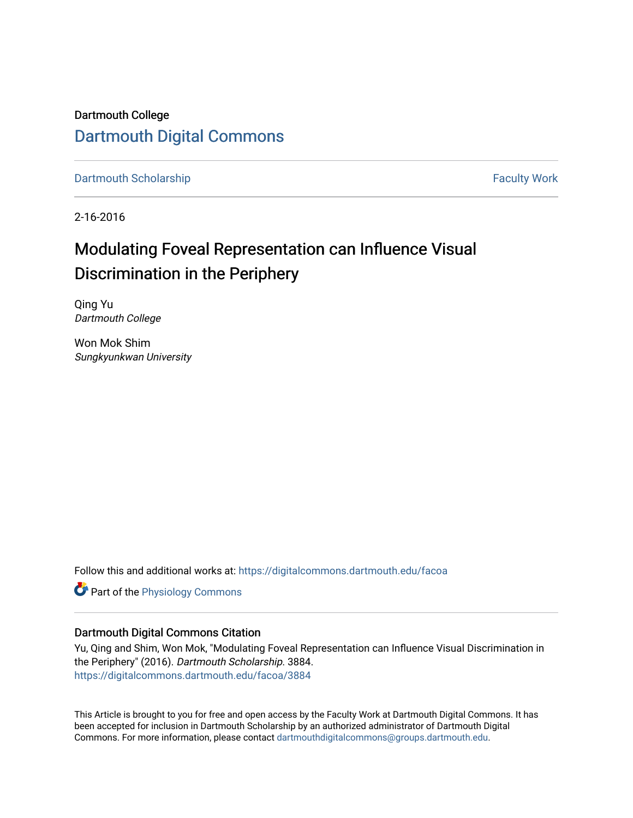Dartmouth College [Dartmouth Digital Commons](https://digitalcommons.dartmouth.edu/) 

[Dartmouth Scholarship](https://digitalcommons.dartmouth.edu/facoa) Faculty Work

2-16-2016

# Modulating Foveal Representation can Influence Visual Discrimination in the Periphery

Qing Yu Dartmouth College

Won Mok Shim Sungkyunkwan University

Follow this and additional works at: [https://digitalcommons.dartmouth.edu/facoa](https://digitalcommons.dartmouth.edu/facoa?utm_source=digitalcommons.dartmouth.edu%2Ffacoa%2F3884&utm_medium=PDF&utm_campaign=PDFCoverPages)

**Part of the [Physiology Commons](http://network.bepress.com/hgg/discipline/69?utm_source=digitalcommons.dartmouth.edu%2Ffacoa%2F3884&utm_medium=PDF&utm_campaign=PDFCoverPages)** 

## Dartmouth Digital Commons Citation

Yu, Qing and Shim, Won Mok, "Modulating Foveal Representation can Influence Visual Discrimination in the Periphery" (2016). Dartmouth Scholarship. 3884. [https://digitalcommons.dartmouth.edu/facoa/3884](https://digitalcommons.dartmouth.edu/facoa/3884?utm_source=digitalcommons.dartmouth.edu%2Ffacoa%2F3884&utm_medium=PDF&utm_campaign=PDFCoverPages) 

This Article is brought to you for free and open access by the Faculty Work at Dartmouth Digital Commons. It has been accepted for inclusion in Dartmouth Scholarship by an authorized administrator of Dartmouth Digital Commons. For more information, please contact [dartmouthdigitalcommons@groups.dartmouth.edu](mailto:dartmouthdigitalcommons@groups.dartmouth.edu).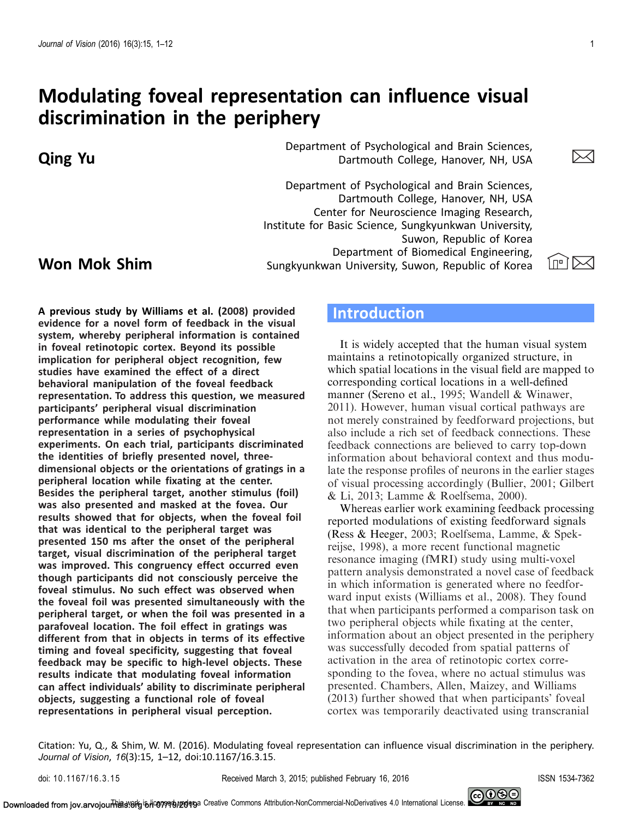# Modulating foveal representation can influence visual discrimination in the periphery

**Qing Yu Department of Psychological and Brain Sciences,**<br>Dartmouth College, Hanover, NH, USA Dartmouth College, Hanover, NH, USA

Department of Biomedical Engineering,<br>Mon Mok Shim Mok Shim Sungkyunkwan University, Suwon, Republic of Korea Department of Psychological and Brain Sciences, Dartmouth College, Hanover, NH, USA Center for Neuroscience Imaging Research, Institute for Basic Science, Sungkyunkwan University, Suwon, Republic of Korea Department of Biomedical Engineering,



A previous study by Williams et al. [\(2008\)](#page-12-0) provided evidence for a novel form of feedback in the visual system, whereby peripheral information is contained in foveal retinotopic cortex. Beyond its possible implication for peripheral object recognition, few studies have examined the effect of a direct behavioral manipulation of the foveal feedback representation. To address this question, we measured participants' peripheral visual discrimination performance while modulating their foveal representation in a series of psychophysical experiments. On each trial, participants discriminated the identities of briefly presented novel, threedimensional objects or the orientations of gratings in a peripheral location while fixating at the center. Besides the peripheral target, another stimulus (foil) was also presented and masked at the fovea. Our results showed that for objects, when the foveal foil that was identical to the peripheral target was presented 150 ms after the onset of the peripheral target, visual discrimination of the peripheral target was improved. This congruency effect occurred even though participants did not consciously perceive the foveal stimulus. No such effect was observed when the foveal foil was presented simultaneously with the peripheral target, or when the foil was presented in a parafoveal location. The foil effect in gratings was different from that in objects in terms of its effective timing and foveal specificity, suggesting that foveal feedback may be specific to high-level objects. These results indicate that modulating foveal information can affect individuals' ability to discriminate peripheral objects, suggesting a functional role of foveal representations in peripheral visual perception.

# Introduction

It is widely accepted that the human visual system maintains a retinotopically organized structure, in which spatial locations in the visual field are mapped to corresponding cortical locations in a well-defined manner (Sereno et al., [1995](#page-12-0); Wandell & Winawer, [2011\)](#page-12-0). However, human visual cortical pathways are not merely constrained by feedforward projections, but also include a rich set of feedback connections. These feedback connections are believed to carry top-down information about behavioral context and thus modulate the response profiles of neurons in the earlier stages of visual processing accordingly (Bullier, [2001;](#page-11-0) Gilbert & Li, [2013;](#page-11-0) Lamme & Roelfsema, [2000\)](#page-11-0).

Whereas earlier work examining feedback processing reported modulations of existing feedforward signals (Ress & Heeger, [2003;](#page-12-0) Roelfsema, Lamme, & Spekreijse, [1998](#page-12-0)), a more recent functional magnetic resonance imaging (fMRI) study using multi-voxel pattern analysis demonstrated a novel case of feedback in which information is generated where no feedforward input exists (Williams et al., [2008](#page-12-0)). They found that when participants performed a comparison task on two peripheral objects while fixating at the center, information about an object presented in the periphery was successfully decoded from spatial patterns of activation in the area of retinotopic cortex corresponding to the fovea, where no actual stimulus was presented. Chambers, Allen, Maizey, and Williams ([2013](#page-11-0)) further showed that when participants' foveal cortex was temporarily deactivated using transcranial

Citation: Yu, Q., & Shim, W. M. (2016). Modulating foveal representation can influence visual discrimination in the periphery. Journal of Vision, 16(3):15, 1–12, doi:10.1167/16.3.15.

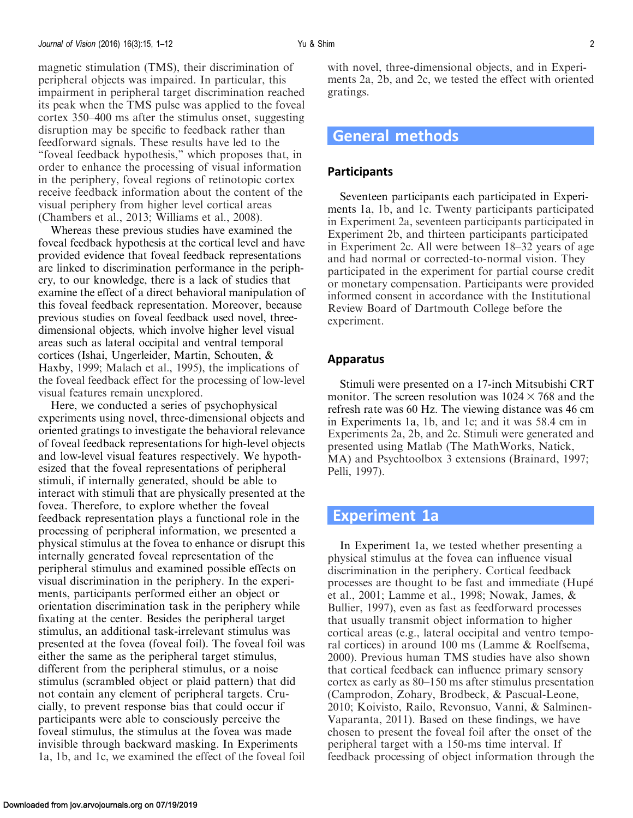<span id="page-2-0"></span>magnetic stimulation (TMS), their discrimination of peripheral objects was impaired. In particular, this impairment in peripheral target discrimination reached its peak when the TMS pulse was applied to the foveal cortex 350–400 ms after the stimulus onset, suggesting disruption may be specific to feedback rather than feedforward signals. These results have led to the ''foveal feedback hypothesis,'' which proposes that, in order to enhance the processing of visual information in the periphery, foveal regions of retinotopic cortex receive feedback information about the content of the visual periphery from higher level cortical areas (Chambers et al., [2013;](#page-11-0) Williams et al., [2008\)](#page-12-0).

Whereas these previous studies have examined the foveal feedback hypothesis at the cortical level and have provided evidence that foveal feedback representations are linked to discrimination performance in the periphery, to our knowledge, there is a lack of studies that examine the effect of a direct behavioral manipulation of this foveal feedback representation. Moreover, because previous studies on foveal feedback used novel, threedimensional objects, which involve higher level visual areas such as lateral occipital and ventral temporal cortices (Ishai, Ungerleider, Martin, Schouten, & Haxby, [1999;](#page-11-0) Malach et al., [1995\)](#page-11-0), the implications of the foveal feedback effect for the processing of low-level visual features remain unexplored.

Here, we conducted a series of psychophysical experiments using novel, three-dimensional objects and oriented gratings to investigate the behavioral relevance of foveal feedback representations for high-level objects and low-level visual features respectively. We hypothesized that the foveal representations of peripheral stimuli, if internally generated, should be able to interact with stimuli that are physically presented at the fovea. Therefore, to explore whether the foveal feedback representation plays a functional role in the processing of peripheral information, we presented a physical stimulus at the fovea to enhance or disrupt this internally generated foveal representation of the peripheral stimulus and examined possible effects on visual discrimination in the periphery. In the experiments, participants performed either an object or orientation discrimination task in the periphery while fixating at the center. Besides the peripheral target stimulus, an additional task-irrelevant stimulus was presented at the fovea (foveal foil). The foveal foil was either the same as the peripheral target stimulus, different from the peripheral stimulus, or a noise stimulus (scrambled object or plaid pattern) that did not contain any element of peripheral targets. Crucially, to prevent response bias that could occur if participants were able to consciously perceive the foveal stimulus, the stimulus at the fovea was made invisible through backward masking. In Experiments 1a, [1b](#page-5-0), and [1c](#page-5-0), we examined the effect of the foveal foil with novel, three-dimensional objects, and in [Experi](#page-6-0)[ments 2a,](#page-6-0) [2b,](#page-7-0) and [2c,](#page-8-0) we tested the effect with oriented gratings.

## General methods

## Participants

Seventeen participants each participated in Experiments 1a, [1b](#page-5-0), and [1c.](#page-5-0) Twenty participants participated in [Experiment 2a](#page-6-0), seventeen participants participated in [Experiment 2b](#page-7-0), and thirteen participants participated in [Experiment 2c](#page-8-0). All were between 18–32 years of age and had normal or corrected-to-normal vision. They participated in the experiment for partial course credit or monetary compensation. Participants were provided informed consent in accordance with the Institutional Review Board of Dartmouth College before the experiment.

## Apparatus

Stimuli were presented on a 17-inch Mitsubishi CRT monitor. The screen resolution was  $1024 \times 768$  and the refresh rate was 60 Hz. The viewing distance was 46 cm in Experiments 1a, [1b,](#page-5-0) and [1c;](#page-5-0) and it was 58.4 cm in [Experiments 2a](#page-6-0), [2b](#page-7-0), and [2c.](#page-8-0) Stimuli were generated and presented using Matlab (The MathWorks, Natick, MA) and Psychtoolbox 3 extensions (Brainard, [1997;](#page-11-0) Pelli, [1997\)](#page-11-0).

## Experiment 1a

In Experiment 1a, we tested whether presenting a physical stimulus at the fovea can influence visual discrimination in the periphery. Cortical feedback processes are thought to be fast and immediate (Hupe´ et al., [2001;](#page-11-0) Lamme et al., [1998;](#page-11-0) Nowak, James, & Bullier, [1997\)](#page-11-0), even as fast as feedforward processes that usually transmit object information to higher cortical areas (e.g., lateral occipital and ventro temporal cortices) in around 100 ms (Lamme & Roelfsema, [2000\)](#page-11-0). Previous human TMS studies have also shown that cortical feedback can influence primary sensory cortex as early as 80–150 ms after stimulus presentation (Camprodon, Zohary, Brodbeck, & Pascual-Leone, [2010;](#page-11-0) Koivisto, Railo, Revonsuo, Vanni, & Salminen-Vaparanta, [2011](#page-11-0)). Based on these findings, we have chosen to present the foveal foil after the onset of the peripheral target with a 150-ms time interval. If feedback processing of object information through the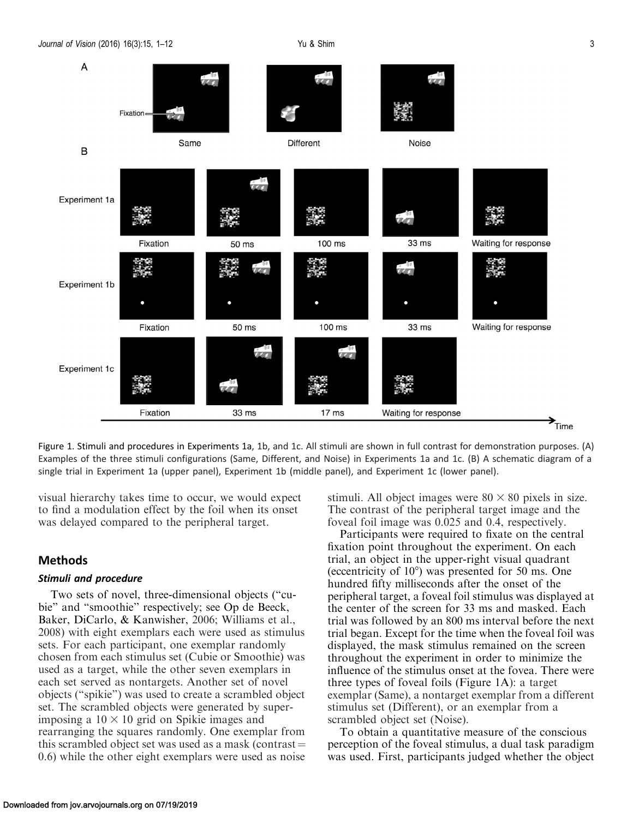<span id="page-3-0"></span>

Figure 1. Stimuli and procedures in [Experiments 1a,](#page-2-0) [1b,](#page-5-0) and [1c.](#page-5-0) All stimuli are shown in full contrast for demonstration purposes. (A) Examples of the three stimuli configurations (Same, Different, and Noise) in [Experiments 1a](#page-2-0) and [1c.](#page-5-0) (B) A schematic diagram of a single trial in [Experiment 1a](#page-2-0) (upper panel), [Experiment 1b](#page-5-0) (middle panel), and [Experiment 1c](#page-5-0) (lower panel).

visual hierarchy takes time to occur, we would expect to find a modulation effect by the foil when its onset was delayed compared to the peripheral target.

#### Methods

#### Stimuli and procedure

Two sets of novel, three-dimensional objects (''cubie'' and ''smoothie'' respectively; see Op de Beeck, Baker, DiCarlo, & Kanwisher, [2006;](#page-11-0) Williams et al., [2008\)](#page-12-0) with eight exemplars each were used as stimulus sets. For each participant, one exemplar randomly chosen from each stimulus set (Cubie or Smoothie) was used as a target, while the other seven exemplars in each set served as nontargets. Another set of novel objects (''spikie'') was used to create a scrambled object set. The scrambled objects were generated by superimposing a  $10 \times 10$  grid on Spikie images and rearranging the squares randomly. One exemplar from this scrambled object set was used as a mask (contrast  $=$ 0.6) while the other eight exemplars were used as noise

stimuli. All object images were  $80 \times 80$  pixels in size. The contrast of the peripheral target image and the foveal foil image was 0.025 and 0.4, respectively.

Participants were required to fixate on the central fixation point throughout the experiment. On each trial, an object in the upper-right visual quadrant (eccentricity of  $10^{\circ}$ ) was presented for 50 ms. One hundred fifty milliseconds after the onset of the peripheral target, a foveal foil stimulus was displayed at the center of the screen for 33 ms and masked. Each trial was followed by an 800 ms interval before the next trial began. Except for the time when the foveal foil was displayed, the mask stimulus remained on the screen throughout the experiment in order to minimize the influence of the stimulus onset at the fovea. There were three types of foveal foils (Figure 1A): a target exemplar (Same), a nontarget exemplar from a different stimulus set (Different), or an exemplar from a scrambled object set (Noise).

To obtain a quantitative measure of the conscious perception of the foveal stimulus, a dual task paradigm was used. First, participants judged whether the object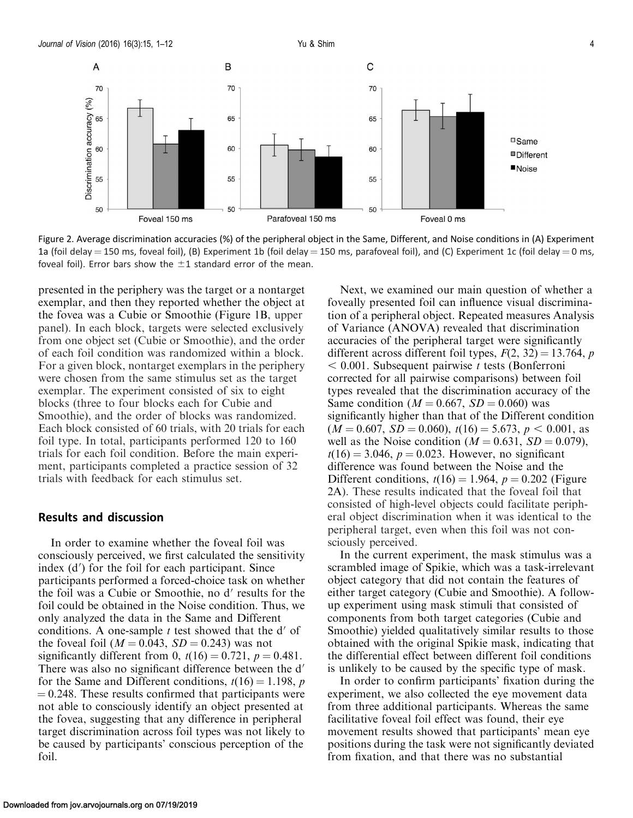<span id="page-4-0"></span>

Figure 2. Average discrimination accuracies (%) of the peripheral object in the Same, Different, and Noise conditions in (A) [Experiment](#page-2-0) [1a](#page-2-0) (foil delay = 150 ms, foveal foil), (B) [Experiment 1b](#page-5-0) (foil delay = 150 ms, parafoveal foil), and (C) [Experiment 1c](#page-5-0) (foil delay = 0 ms, foveal foil). Error bars show the  $\pm 1$  standard error of the mean.

presented in the periphery was the target or a nontarget exemplar, and then they reported whether the object at the fovea was a Cubie or Smoothie ([Figure 1B,](#page-3-0) upper panel). In each block, targets were selected exclusively from one object set (Cubie or Smoothie), and the order of each foil condition was randomized within a block. For a given block, nontarget exemplars in the periphery were chosen from the same stimulus set as the target exemplar. The experiment consisted of six to eight blocks (three to four blocks each for Cubie and Smoothie), and the order of blocks was randomized. Each block consisted of 60 trials, with 20 trials for each foil type. In total, participants performed 120 to 160 trials for each foil condition. Before the main experiment, participants completed a practice session of 32 trials with feedback for each stimulus set.

## Results and discussion

In order to examine whether the foveal foil was consciously perceived, we first calculated the sensitivity index (d') for the foil for each participant. Since participants performed a forced-choice task on whether the foil was a Cubie or Smoothie, no d' results for the foil could be obtained in the Noise condition. Thus, we only analyzed the data in the Same and Different conditions. A one-sample  $t$  test showed that the  $d'$  of the foveal foil ( $M = 0.043$ ,  $SD = 0.243$ ) was not significantly different from 0,  $t(16) = 0.721$ ,  $p = 0.481$ . There was also no significant difference between the  $d'$ for the Same and Different conditions,  $t(16) = 1.198$ , p  $= 0.248$ . These results confirmed that participants were not able to consciously identify an object presented at the fovea, suggesting that any difference in peripheral target discrimination across foil types was not likely to be caused by participants' conscious perception of the foil.

Next, we examined our main question of whether a foveally presented foil can influence visual discrimination of a peripheral object. Repeated measures Analysis of Variance (ANOVA) revealed that discrimination accuracies of the peripheral target were significantly different across different foil types,  $F(2, 32) = 13.764$ , p  $< 0.001$ . Subsequent pairwise t tests (Bonferroni corrected for all pairwise comparisons) between foil types revealed that the discrimination accuracy of the Same condition ( $M = 0.667$ ,  $SD = 0.060$ ) was significantly higher than that of the Different condition  $(M = 0.607, SD = 0.060), t(16) = 5.673, p < 0.001, as$ well as the Noise condition ( $M = 0.631$ ,  $SD = 0.079$ ),  $t(16) = 3.046, p = 0.023$ . However, no significant difference was found between the Noise and the Different conditions,  $t(16) = 1.964$ ,  $p = 0.202$  (Figure 2A). These results indicated that the foveal foil that consisted of high-level objects could facilitate peripheral object discrimination when it was identical to the peripheral target, even when this foil was not consciously perceived.

In the current experiment, the mask stimulus was a scrambled image of Spikie, which was a task-irrelevant object category that did not contain the features of either target category (Cubie and Smoothie). A followup experiment using mask stimuli that consisted of components from both target categories (Cubie and Smoothie) yielded qualitatively similar results to those obtained with the original Spikie mask, indicating that the differential effect between different foil conditions is unlikely to be caused by the specific type of mask.

In order to confirm participants' fixation during the experiment, we also collected the eye movement data from three additional participants. Whereas the same facilitative foveal foil effect was found, their eye movement results showed that participants' mean eye positions during the task were not significantly deviated from fixation, and that there was no substantial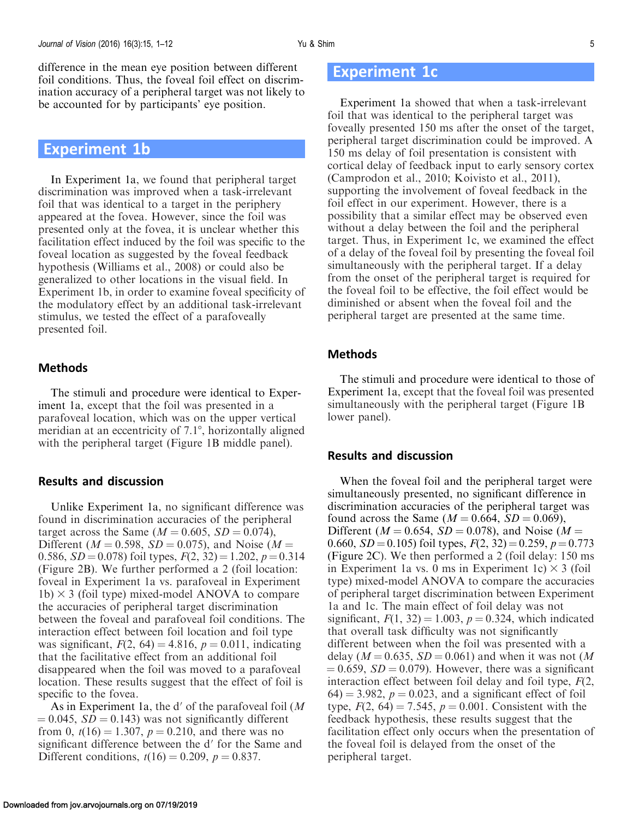# <span id="page-5-0"></span>Experiment 1b

In [Experiment 1a,](#page-2-0) we found that peripheral target discrimination was improved when a task-irrelevant foil that was identical to a target in the periphery appeared at the fovea. However, since the foil was presented only at the fovea, it is unclear whether this facilitation effect induced by the foil was specific to the foveal location as suggested by the foveal feedback hypothesis (Williams et al., [2008\)](#page-12-0) or could also be generalized to other locations in the visual field. In Experiment 1b, in order to examine foveal specificity of the modulatory effect by an additional task-irrelevant stimulus, we tested the effect of a parafoveally presented foil.

#### Methods

The stimuli and procedure were identical to [Exper](#page-2-0)[iment 1a](#page-2-0), except that the foil was presented in a parafoveal location, which was on the upper vertical meridian at an eccentricity of  $7.1^{\circ}$ , horizontally aligned with the peripheral target [\(Figure 1B](#page-3-0) middle panel).

#### Results and discussion

Unlike [Experiment 1a](#page-2-0), no significant difference was found in discrimination accuracies of the peripheral target across the Same ( $M = 0.605$ ,  $SD = 0.074$ ), Different ( $M = 0.598$ ,  $SD = 0.075$ ), and Noise ( $M =$ 0.586,  $SD = 0.078$  foil types,  $F(2, 32) = 1.202$ ,  $p = 0.314$ ([Figure 2B\)](#page-4-0). We further performed a 2 (foil location: foveal in [Experiment 1a](#page-2-0) vs. parafoveal in Experiment  $1<sup>b</sup> \times 3$  (foil type) mixed-model ANOVA to compare the accuracies of peripheral target discrimination between the foveal and parafoveal foil conditions. The interaction effect between foil location and foil type was significant,  $F(2, 64) = 4.816$ ,  $p = 0.011$ , indicating that the facilitative effect from an additional foil disappeared when the foil was moved to a parafoveal location. These results suggest that the effect of foil is specific to the fovea.

As in [Experiment 1a](#page-2-0), the d' of the parafoveal foil  $(M)$  $= 0.045$ ,  $SD = 0.143$ ) was not significantly different from 0,  $t(16) = 1.307$ ,  $p = 0.210$ , and there was no significant difference between the d' for the Same and Different conditions,  $t(16) = 0.209$ ,  $p = 0.837$ .

## Experiment 1c

[Experiment 1a](#page-2-0) showed that when a task-irrelevant foil that was identical to the peripheral target was foveally presented 150 ms after the onset of the target, peripheral target discrimination could be improved. A 150 ms delay of foil presentation is consistent with cortical delay of feedback input to early sensory cortex (Camprodon et al., [2010](#page-11-0); Koivisto et al., [2011\)](#page-11-0), supporting the involvement of foveal feedback in the foil effect in our experiment. However, there is a possibility that a similar effect may be observed even without a delay between the foil and the peripheral target. Thus, in Experiment 1c, we examined the effect of a delay of the foveal foil by presenting the foveal foil simultaneously with the peripheral target. If a delay from the onset of the peripheral target is required for the foveal foil to be effective, the foil effect would be diminished or absent when the foveal foil and the peripheral target are presented at the same time.

## Methods

The stimuli and procedure were identical to those of [Experiment 1a,](#page-2-0) except that the foveal foil was presented simultaneously with the peripheral target ([Figure 1B](#page-3-0) lower panel).

## Results and discussion

When the foveal foil and the peripheral target were simultaneously presented, no significant difference in discrimination accuracies of the peripheral target was found across the Same  $(M = 0.664, SD = 0.069)$ , Different ( $M = 0.654$ ,  $SD = 0.078$ ), and Noise ( $M =$ 0.660,  $SD = 0.105$  foil types,  $F(2, 32) = 0.259$ ,  $p = 0.773$ ([Figure 2C\)](#page-4-0). We then performed a 2 (foil delay: 150 ms in [Experiment 1a](#page-2-0) vs. 0 ms in Experiment 1c)  $\times$  3 (foil type) mixed-model ANOVA to compare the accuracies of peripheral target discrimination between [Experiment](#page-2-0) [1a](#page-2-0) and 1c. The main effect of foil delay was not significant,  $F(1, 32) = 1.003$ ,  $p = 0.324$ , which indicated that overall task difficulty was not significantly different between when the foil was presented with a delay ( $M = 0.635$ ,  $SD = 0.061$ ) and when it was not (M)  $= 0.659$ ,  $SD = 0.079$ . However, there was a significant interaction effect between foil delay and foil type,  $F(2)$ ,  $(64) = 3.982$ ,  $p = 0.023$ , and a significant effect of foil type,  $F(2, 64) = 7.545$ ,  $p = 0.001$ . Consistent with the feedback hypothesis, these results suggest that the facilitation effect only occurs when the presentation of the foveal foil is delayed from the onset of the peripheral target.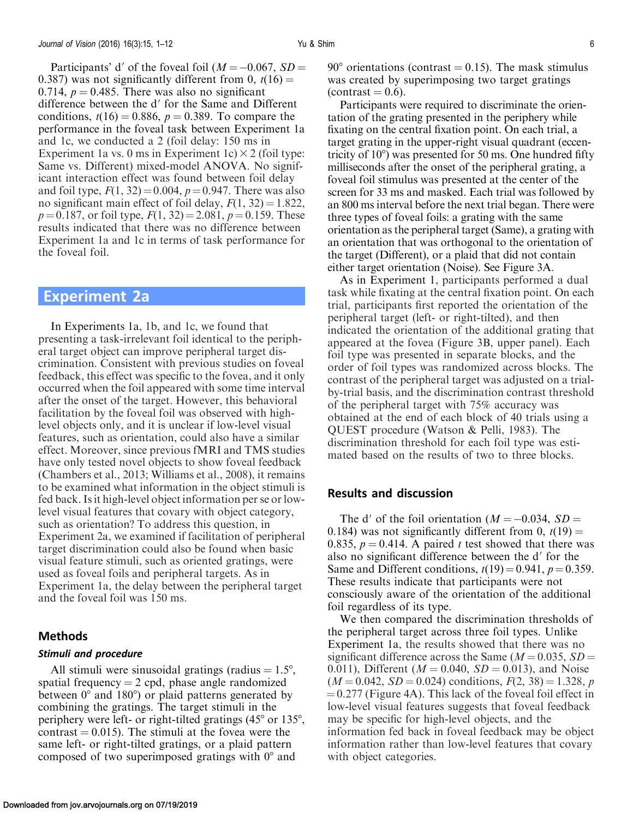<span id="page-6-0"></span>Participants' d' of the foveal foil ( $M = -0.067$ ,  $SD =$ 0.387) was not significantly different from 0,  $t(16) =$ 0.714,  $p = 0.485$ . There was also no significant difference between the d' for the Same and Different conditions,  $t(16) = 0.886$ ,  $p = 0.389$ . To compare the performance in the foveal task between [Experiment 1a](#page-2-0) and [1c](#page-5-0), we conducted a 2 (foil delay: 150 ms in [Experiment 1a](#page-2-0) vs. 0 ms in [Experiment 1c](#page-5-0))  $\times$  2 (foil type: Same vs. Different) mixed-model ANOVA. No significant interaction effect was found between foil delay and foil type,  $F(1, 32) = 0.004$ ,  $p = 0.947$ . There was also no significant main effect of foil delay,  $F(1, 32) = 1.822$ ,  $p=0.187$ , or foil type,  $F(1, 32)=2.081$ ,  $p=0.159$ . These results indicated that there was no difference between [Experiment 1a](#page-2-0) and [1c](#page-5-0) in terms of task performance for the foveal foil.

## Experiment 2a

In [Experiments 1a,](#page-2-0) [1b](#page-5-0), and [1c,](#page-5-0) we found that presenting a task-irrelevant foil identical to the peripheral target object can improve peripheral target discrimination. Consistent with previous studies on foveal feedback, this effect was specific to the fovea, and it only occurred when the foil appeared with some time interval after the onset of the target. However, this behavioral facilitation by the foveal foil was observed with highlevel objects only, and it is unclear if low-level visual features, such as orientation, could also have a similar effect. Moreover, since previous fMRI and TMS studies have only tested novel objects to show foveal feedback (Chambers et al., [2013;](#page-11-0) Williams et al., [2008](#page-12-0)), it remains to be examined what information in the object stimuli is fed back. Is it high-level object information per se or lowlevel visual features that covary with object category, such as orientation? To address this question, in Experiment 2a, we examined if facilitation of peripheral target discrimination could also be found when basic visual feature stimuli, such as oriented gratings, were used as foveal foils and peripheral targets. As in [Experiment 1a](#page-2-0), the delay between the peripheral target and the foveal foil was 150 ms.

## Methods

#### Stimuli and procedure

All stimuli were sinusoidal gratings (radius  $= 1.5^{\circ}$ , spatial frequency  $= 2$  cpd, phase angle randomized between  $0^{\circ}$  and 180°) or plaid patterns generated by combining the gratings. The target stimuli in the periphery were left- or right-tilted gratings  $(45^{\circ} \text{ or } 135^{\circ})$ , contrast  $= 0.015$ ). The stimuli at the fovea were the same left- or right-tilted gratings, or a plaid pattern composed of two superimposed gratings with  $0^{\circ}$  and

 $90^{\circ}$  orientations (contrast = 0.15). The mask stimulus was created by superimposing two target gratings  $\text{(contrast} = 0.6)$ .

Participants were required to discriminate the orientation of the grating presented in the periphery while fixating on the central fixation point. On each trial, a target grating in the upper-right visual quadrant (eccentricity of  $10^{\circ}$ ) was presented for 50 ms. One hundred fifty milliseconds after the onset of the peripheral grating, a foveal foil stimulus was presented at the center of the screen for 33 ms and masked. Each trial was followed by an 800 ms interval before the next trial began. There were three types of foveal foils: a grating with the same orientation as the peripheral target (Same), a grating with an orientation that was orthogonal to the orientation of the target (Different), or a plaid that did not contain either target orientation (Noise). See [Figure 3A](#page-7-0).

As in [Experiment 1](#page-5-0), participants performed a dual task while fixating at the central fixation point. On each trial, participants first reported the orientation of the peripheral target (left- or right-tilted), and then indicated the orientation of the additional grating that appeared at the fovea [\(Figure 3B](#page-7-0), upper panel). Each foil type was presented in separate blocks, and the order of foil types was randomized across blocks. The contrast of the peripheral target was adjusted on a trialby-trial basis, and the discrimination contrast threshold of the peripheral target with 75% accuracy was obtained at the end of each block of 40 trials using a QUEST procedure (Watson & Pelli, [1983\)](#page-12-0). The discrimination threshold for each foil type was estimated based on the results of two to three blocks.

## Results and discussion

The d' of the foil orientation ( $M = -0.034$ ,  $SD =$ 0.184) was not significantly different from 0,  $t(19) =$ 0.835,  $p = 0.414$ . A paired t test showed that there was also no significant difference between the  $d'$  for the Same and Different conditions,  $t(19) = 0.941$ ,  $p = 0.359$ . These results indicate that participants were not consciously aware of the orientation of the additional foil regardless of its type.

We then compared the discrimination thresholds of the peripheral target across three foil types. Unlike [Experiment 1a,](#page-2-0) the results showed that there was no significant difference across the Same ( $M = 0.035$ , SD = 0.011), Different ( $M = 0.040$ ,  $SD = 0.013$ ), and Noise  $(M = 0.042, SD = 0.024)$  conditions,  $F(2, 38) = 1.328, p$  $=0.277$  [\(Figure 4A\)](#page-7-0). This lack of the foveal foil effect in low-level visual features suggests that foveal feedback may be specific for high-level objects, and the information fed back in foveal feedback may be object information rather than low-level features that covary with object categories.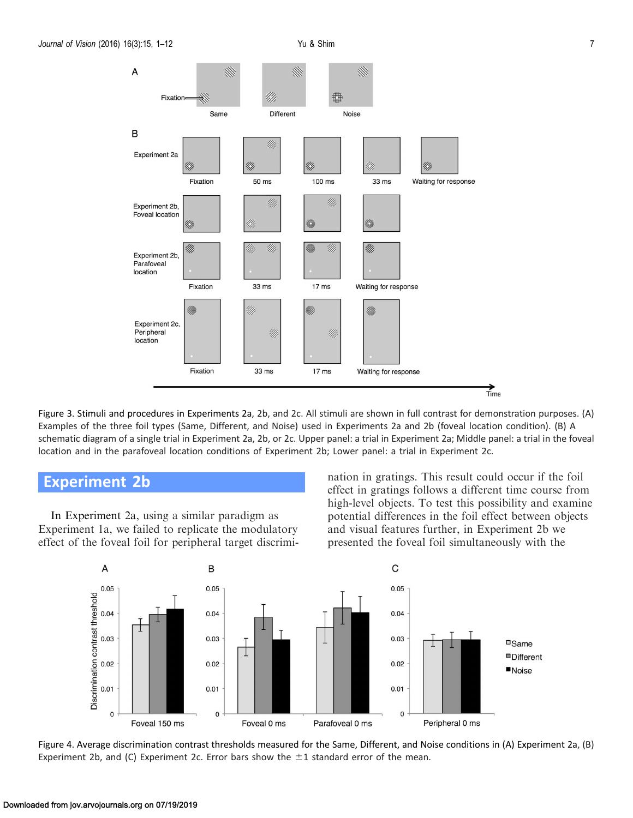<span id="page-7-0"></span>

Figure 3. Stimuli and procedures in [Experiments 2a,](#page-6-0) 2b, and [2c.](#page-8-0) All stimuli are shown in full contrast for demonstration purposes. (A) Examples of the three foil types (Same, Different, and Noise) used in [Experiments 2a](#page-6-0) and 2b (foveal location condition). (B) A schematic diagram of a single trial in [Experiment 2a](#page-6-0), 2b, or [2c](#page-8-0). Upper panel: a trial in [Experiment 2a;](#page-6-0) Middle panel: a trial in the foveal location and in the parafoveal location conditions of Experiment 2b; Lower panel: a trial in [Experiment 2c](#page-8-0).

# Experiment 2b

In [Experiment 2a,](#page-6-0) using a similar paradigm as [Experiment 1a,](#page-2-0) we failed to replicate the modulatory effect of the foveal foil for peripheral target discrimination in gratings. This result could occur if the foil effect in gratings follows a different time course from high-level objects. To test this possibility and examine potential differences in the foil effect between objects and visual features further, in Experiment 2b we presented the foveal foil simultaneously with the



Figure 4. Average discrimination contrast thresholds measured for the Same, Different, and Noise conditions in (A) [Experiment 2a,](#page-6-0) (B) Experiment 2b, and (C) [Experiment 2c](#page-8-0). Error bars show the  $\pm 1$  standard error of the mean.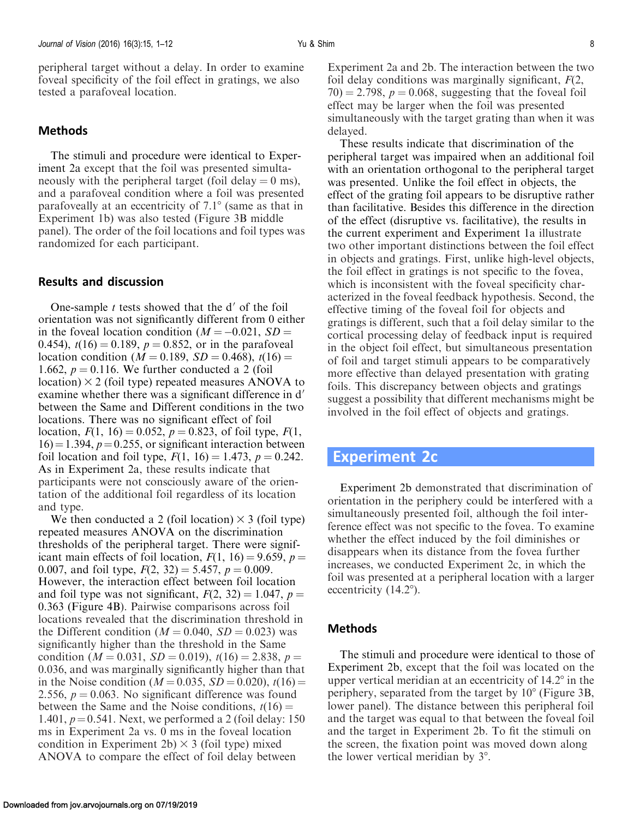<span id="page-8-0"></span>peripheral target without a delay. In order to examine foveal specificity of the foil effect in gratings, we also tested a parafoveal location.

## Methods

The stimuli and procedure were identical to [Exper](#page-6-0)[iment 2a](#page-6-0) except that the foil was presented simultaneously with the peripheral target (foil delay  $= 0$  ms), and a parafoveal condition where a foil was presented parafoveally at an eccentricity of  $7.1^{\circ}$  (same as that in [Experiment 1b](#page-5-0)) was also tested ([Figure 3B](#page-7-0) middle panel). The order of the foil locations and foil types was randomized for each participant.

## Results and discussion

One-sample  $t$  tests showed that the  $d'$  of the foil orientation was not significantly different from 0 either in the foveal location condition ( $M = -0.021$ ,  $SD =$ 0.454),  $t(16) = 0.189$ ,  $p = 0.852$ , or in the parafoveal location condition ( $M = 0.189$ ,  $SD = 0.468$ ),  $t(16) =$ 1.662,  $p = 0.116$ . We further conducted a 2 (foil location)  $\times$  2 (foil type) repeated measures ANOVA to examine whether there was a significant difference in  $d'$ between the Same and Different conditions in the two locations. There was no significant effect of foil location,  $F(1, 16) = 0.052$ ,  $p = 0.823$ , of foil type,  $F(1, 16) = 0.052$ ,  $p = 0.823$ , of foil type,  $F(1, 16) = 0.052$  $16$ ) = 1.394,  $p$  = 0.255, or significant interaction between foil location and foil type,  $F(1, 16) = 1.473$ ,  $p = 0.242$ . As in [Experiment 2a,](#page-6-0) these results indicate that participants were not consciously aware of the orientation of the additional foil regardless of its location and type.

We then conducted a 2 (foil location)  $\times$  3 (foil type) repeated measures ANOVA on the discrimination thresholds of the peripheral target. There were significant main effects of foil location,  $F(1, 16) = 9.659$ ,  $p =$ 0.007, and foil type,  $F(2, 32) = 5.457$ ,  $p = 0.009$ . However, the interaction effect between foil location and foil type was not significant,  $F(2, 32) = 1.047$ ,  $p =$ 0.363 [\(Figure 4B](#page-7-0)). Pairwise comparisons across foil locations revealed that the discrimination threshold in the Different condition ( $M = 0.040$ ,  $SD = 0.023$ ) was significantly higher than the threshold in the Same condition ( $M = 0.031$ ,  $SD = 0.019$ ),  $t(16) = 2.838$ ,  $p =$ 0.036, and was marginally significantly higher than that in the Noise condition ( $M = 0.035$ ,  $SD = 0.020$ ),  $t(16) =$ 2.556,  $p = 0.063$ . No significant difference was found between the Same and the Noise conditions,  $t(16) =$ 1.401,  $p = 0.541$ . Next, we performed a 2 (foil delay: 150) ms in [Experiment 2a](#page-6-0) vs. 0 ms in the foveal location condition in [Experiment 2b](#page-7-0))  $\times$  3 (foil type) mixed ANOVA to compare the effect of foil delay between

These results indicate that discrimination of the peripheral target was impaired when an additional foil with an orientation orthogonal to the peripheral target was presented. Unlike the foil effect in objects, the effect of the grating foil appears to be disruptive rather than facilitative. Besides this difference in the direction of the effect (disruptive vs. facilitative), the results in the current experiment and [Experiment 1a](#page-2-0) illustrate two other important distinctions between the foil effect in objects and gratings. First, unlike high-level objects, the foil effect in gratings is not specific to the fovea, which is inconsistent with the foveal specificity characterized in the foveal feedback hypothesis. Second, the effective timing of the foveal foil for objects and gratings is different, such that a foil delay similar to the cortical processing delay of feedback input is required in the object foil effect, but simultaneous presentation of foil and target stimuli appears to be comparatively more effective than delayed presentation with grating foils. This discrepancy between objects and gratings suggest a possibility that different mechanisms might be involved in the foil effect of objects and gratings.

## Experiment 2c

[Experiment 2b](#page-7-0) demonstrated that discrimination of orientation in the periphery could be interfered with a simultaneously presented foil, although the foil interference effect was not specific to the fovea. To examine whether the effect induced by the foil diminishes or disappears when its distance from the fovea further increases, we conducted Experiment 2c, in which the foil was presented at a peripheral location with a larger eccentricity  $(14.2^{\circ})$ .

#### Methods

The stimuli and procedure were identical to those of [Experiment 2b](#page-7-0), except that the foil was located on the upper vertical meridian at an eccentricity of  $14.2^\circ$  in the periphery, separated from the target by  $10^{\circ}$  [\(Figure 3B](#page-7-0), lower panel). The distance between this peripheral foil and the target was equal to that between the foveal foil and the target in [Experiment 2b](#page-7-0). To fit the stimuli on the screen, the fixation point was moved down along the lower vertical meridian by  $3^\circ$ .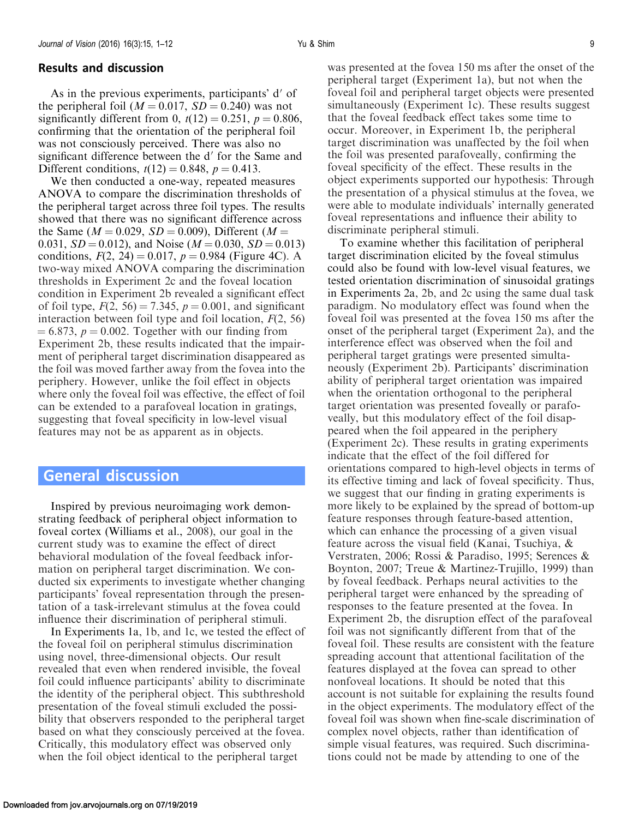## Results and discussion

As in the previous experiments, participants'  $d'$  of the peripheral foil ( $M = 0.017$ ,  $SD = 0.240$ ) was not significantly different from 0,  $t(12) = 0.251$ ,  $p = 0.806$ , confirming that the orientation of the peripheral foil was not consciously perceived. There was also no significant difference between the d' for the Same and Different conditions,  $t(12) = 0.848$ ,  $p = 0.413$ .

We then conducted a one-way, repeated measures ANOVA to compare the discrimination thresholds of the peripheral target across three foil types. The results showed that there was no significant difference across the Same ( $M = 0.029$ ,  $SD = 0.009$ ), Different ( $M =$ 0.031,  $SD = 0.012$ ), and Noise ( $M = 0.030$ ,  $SD = 0.013$ ) conditions,  $F(2, 24) = 0.017$ ,  $p = 0.984$  ([Figure 4C](#page-7-0)). A two-way mixed ANOVA comparing the discrimination thresholds in [Experiment 2c](#page-8-0) and the foveal location condition in [Experiment 2b](#page-7-0) revealed a significant effect of foil type,  $F(2, 56) = 7.345$ ,  $p = 0.001$ , and significant interaction between foil type and foil location,  $F(2, 56)$  $\mu = 6.873$ ,  $p = 0.002$ . Together with our finding from [Experiment 2b](#page-7-0), these results indicated that the impairment of peripheral target discrimination disappeared as the foil was moved farther away from the fovea into the periphery. However, unlike the foil effect in objects where only the foveal foil was effective, the effect of foil can be extended to a parafoveal location in gratings, suggesting that foveal specificity in low-level visual features may not be as apparent as in objects.

# General discussion

Inspired by previous neuroimaging work demonstrating feedback of peripheral object information to foveal cortex (Williams et al., [2008](#page-12-0)), our goal in the current study was to examine the effect of direct behavioral modulation of the foveal feedback information on peripheral target discrimination. We conducted six experiments to investigate whether changing participants' foveal representation through the presentation of a task-irrelevant stimulus at the fovea could influence their discrimination of peripheral stimuli.

In [Experiments 1a](#page-2-0), [1b,](#page-5-0) and [1c](#page-5-0), we tested the effect of the foveal foil on peripheral stimulus discrimination using novel, three-dimensional objects. Our result revealed that even when rendered invisible, the foveal foil could influence participants' ability to discriminate the identity of the peripheral object. This subthreshold presentation of the foveal stimuli excluded the possibility that observers responded to the peripheral target based on what they consciously perceived at the fovea. Critically, this modulatory effect was observed only when the foil object identical to the peripheral target

was presented at the fovea 150 ms after the onset of the peripheral target ([Experiment 1a\)](#page-2-0), but not when the foveal foil and peripheral target objects were presented simultaneously [\(Experiment 1c](#page-5-0)). These results suggest that the foveal feedback effect takes some time to occur. Moreover, in [Experiment 1b,](#page-5-0) the peripheral target discrimination was unaffected by the foil when the foil was presented parafoveally, confirming the foveal specificity of the effect. These results in the object experiments supported our hypothesis: Through the presentation of a physical stimulus at the fovea, we were able to modulate individuals' internally generated foveal representations and influence their ability to discriminate peripheral stimuli.

To examine whether this facilitation of peripheral target discrimination elicited by the foveal stimulus could also be found with low-level visual features, we tested orientation discrimination of sinusoidal gratings in [Experiments 2a,](#page-6-0) [2b](#page-7-0), and [2c](#page-8-0) using the same dual task paradigm. No modulatory effect was found when the foveal foil was presented at the fovea 150 ms after the onset of the peripheral target [\(Experiment 2a\)](#page-6-0), and the interference effect was observed when the foil and peripheral target gratings were presented simultaneously ([Experiment 2b](#page-7-0)). Participants' discrimination ability of peripheral target orientation was impaired when the orientation orthogonal to the peripheral target orientation was presented foveally or parafoveally, but this modulatory effect of the foil disappeared when the foil appeared in the periphery ([Experiment 2c\)](#page-8-0). These results in grating experiments indicate that the effect of the foil differed for orientations compared to high-level objects in terms of its effective timing and lack of foveal specificity. Thus, we suggest that our finding in grating experiments is more likely to be explained by the spread of bottom-up feature responses through feature-based attention, which can enhance the processing of a given visual feature across the visual field (Kanai, Tsuchiya, & Verstraten, [2006](#page-11-0); Rossi & Paradiso, [1995](#page-12-0); Serences & Boynton, [2007](#page-12-0); Treue & Martinez-Trujillo, [1999\)](#page-12-0) than by foveal feedback. Perhaps neural activities to the peripheral target were enhanced by the spreading of responses to the feature presented at the fovea. In [Experiment 2b](#page-7-0), the disruption effect of the parafoveal foil was not significantly different from that of the foveal foil. These results are consistent with the feature spreading account that attentional facilitation of the features displayed at the fovea can spread to other nonfoveal locations. It should be noted that this account is not suitable for explaining the results found in the object experiments. The modulatory effect of the foveal foil was shown when fine-scale discrimination of complex novel objects, rather than identification of simple visual features, was required. Such discriminations could not be made by attending to one of the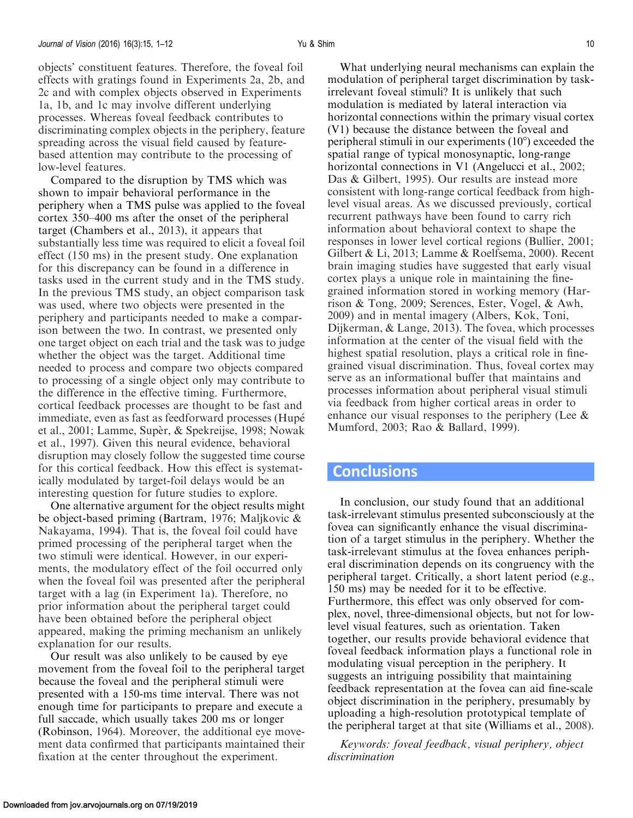objects' constituent features. Therefore, the foveal foil effects with gratings found in [Experiments 2a,](#page-6-0) [2b,](#page-7-0) and [2c](#page-8-0) and with complex objects observed in [Experiments](#page-2-0) [1a,](#page-2-0) [1b](#page-5-0), and [1c](#page-5-0) may involve different underlying processes. Whereas foveal feedback contributes to discriminating complex objects in the periphery, feature spreading across the visual field caused by featurebased attention may contribute to the processing of low-level features.

Compared to the disruption by TMS which was shown to impair behavioral performance in the periphery when a TMS pulse was applied to the foveal cortex 350–400 ms after the onset of the peripheral target (Chambers et al., [2013\)](#page-11-0), it appears that substantially less time was required to elicit a foveal foil effect (150 ms) in the present study. One explanation for this discrepancy can be found in a difference in tasks used in the current study and in the TMS study. In the previous TMS study, an object comparison task was used, where two objects were presented in the periphery and participants needed to make a comparison between the two. In contrast, we presented only one target object on each trial and the task was to judge whether the object was the target. Additional time needed to process and compare two objects compared to processing of a single object only may contribute to the difference in the effective timing. Furthermore, cortical feedback processes are thought to be fast and immediate, even as fast as feedforward processes (Hupé et al., [2001;](#page-11-0) Lamme, Supèr, & Spekreijse, [1998;](#page-11-0) Nowak et al., [1997](#page-11-0)). Given this neural evidence, behavioral disruption may closely follow the suggested time course for this cortical feedback. How this effect is systematically modulated by target-foil delays would be an interesting question for future studies to explore.

One alternative argument for the object results might be object-based priming (Bartram, [1976](#page-11-0); Maljkovic & Nakayama, [1994\)](#page-11-0). That is, the foveal foil could have primed processing of the peripheral target when the two stimuli were identical. However, in our experiments, the modulatory effect of the foil occurred only when the foveal foil was presented after the peripheral target with a lag (in [Experiment 1a\)](#page-2-0). Therefore, no prior information about the peripheral target could have been obtained before the peripheral object appeared, making the priming mechanism an unlikely explanation for our results.

Our result was also unlikely to be caused by eye movement from the foveal foil to the peripheral target because the foveal and the peripheral stimuli were presented with a 150-ms time interval. There was not enough time for participants to prepare and execute a full saccade, which usually takes 200 ms or longer (Robinson, [1964\)](#page-12-0). Moreover, the additional eye movement data confirmed that participants maintained their fixation at the center throughout the experiment.

What underlying neural mechanisms can explain the modulation of peripheral target discrimination by taskirrelevant foveal stimuli? It is unlikely that such modulation is mediated by lateral interaction via horizontal connections within the primary visual cortex (V1) because the distance between the foveal and peripheral stimuli in our experiments  $(10^{\circ})$  exceeded the spatial range of typical monosynaptic, long-range horizontal connections in V1 (Angelucci et al., [2002](#page-11-0); Das & Gilbert, [1995\)](#page-11-0). Our results are instead more consistent with long-range cortical feedback from highlevel visual areas. As we discussed previously, cortical recurrent pathways have been found to carry rich information about behavioral context to shape the responses in lower level cortical regions (Bullier, [2001](#page-11-0); Gilbert & Li, [2013;](#page-11-0) Lamme & Roelfsema, [2000](#page-11-0)). Recent brain imaging studies have suggested that early visual cortex plays a unique role in maintaining the finegrained information stored in working memory (Harrison & Tong, [2009;](#page-11-0) Serences, Ester, Vogel, & Awh, [2009\)](#page-12-0) and in mental imagery (Albers, Kok, Toni, Dijkerman, & Lange, [2013\)](#page-11-0). The fovea, which processes information at the center of the visual field with the highest spatial resolution, plays a critical role in finegrained visual discrimination. Thus, foveal cortex may serve as an informational buffer that maintains and processes information about peripheral visual stimuli via feedback from higher cortical areas in order to enhance our visual responses to the periphery (Lee  $\&$ Mumford, [2003](#page-11-0); Rao & Ballard, [1999\)](#page-12-0).

## **Conclusions**

In conclusion, our study found that an additional task-irrelevant stimulus presented subconsciously at the fovea can significantly enhance the visual discrimination of a target stimulus in the periphery. Whether the task-irrelevant stimulus at the fovea enhances peripheral discrimination depends on its congruency with the peripheral target. Critically, a short latent period (e.g., 150 ms) may be needed for it to be effective. Furthermore, this effect was only observed for complex, novel, three-dimensional objects, but not for lowlevel visual features, such as orientation. Taken together, our results provide behavioral evidence that foveal feedback information plays a functional role in modulating visual perception in the periphery. It suggests an intriguing possibility that maintaining feedback representation at the fovea can aid fine-scale object discrimination in the periphery, presumably by uploading a high-resolution prototypical template of the peripheral target at that site (Williams et al., [2008](#page-12-0)).

Keywords: foveal feedback, visual periphery, object discrimination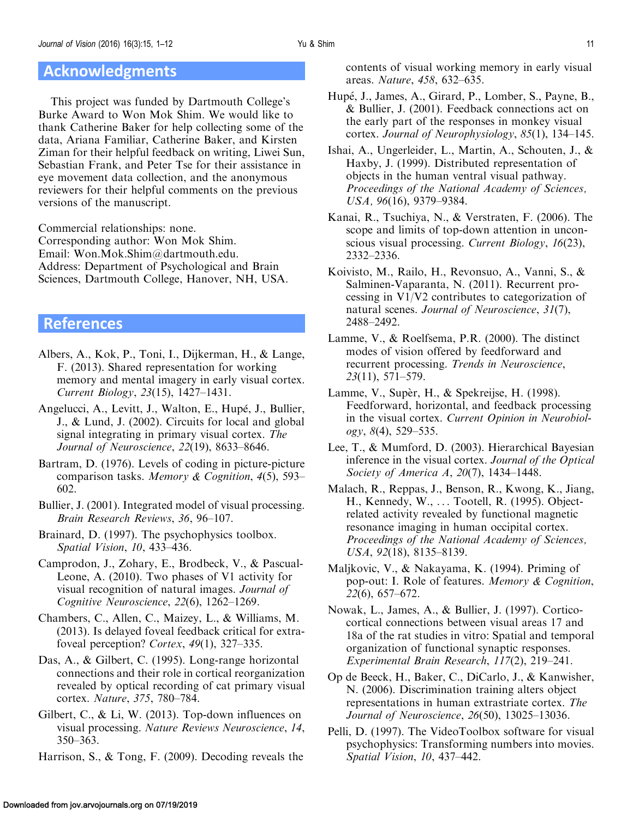# <span id="page-11-0"></span>Acknowledgments

This project was funded by Dartmouth College's Burke Award to Won Mok Shim. We would like to thank Catherine Baker for help collecting some of the data, Ariana Familiar, Catherine Baker, and Kirsten Ziman for their helpful feedback on writing, Liwei Sun, Sebastian Frank, and Peter Tse for their assistance in eye movement data collection, and the anonymous reviewers for their helpful comments on the previous versions of the manuscript.

Commercial relationships: none. Corresponding author: Won Mok Shim. Email: Won.Mok.Shim@dartmouth.edu. Address: Department of Psychological and Brain Sciences, Dartmouth College, Hanover, NH, USA.

# References

- Albers, A., Kok, P., Toni, I., Dijkerman, H., & Lange, F. (2013). Shared representation for working memory and mental imagery in early visual cortex. Current Biology, 23(15), 1427–1431.
- Angelucci, A., Levitt, J., Walton, E., Hupé, J., Bullier, J., & Lund, J. (2002). Circuits for local and global signal integrating in primary visual cortex. The Journal of Neuroscience, 22(19), 8633–8646.
- Bartram, D. (1976). Levels of coding in picture-picture comparison tasks. Memory & Cognition,  $4(5)$ , 593– 602.
- Bullier, J. (2001). Integrated model of visual processing. Brain Research Reviews, 36, 96–107.
- Brainard, D. (1997). The psychophysics toolbox. Spatial Vision, 10, 433–436.
- Camprodon, J., Zohary, E., Brodbeck, V., & Pascual-Leone, A. (2010). Two phases of V1 activity for visual recognition of natural images. Journal of Cognitive Neuroscience, 22(6), 1262–1269.
- Chambers, C., Allen, C., Maizey, L., & Williams, M. (2013). Is delayed foveal feedback critical for extrafoveal perception? Cortex, 49(1), 327–335.
- Das, A., & Gilbert, C. (1995). Long-range horizontal connections and their role in cortical reorganization revealed by optical recording of cat primary visual cortex. Nature, 375, 780–784.
- Gilbert, C., & Li, W. (2013). Top-down influences on visual processing. Nature Reviews Neuroscience, 14, 350–363.

Harrison, S., & Tong, F. (2009). Decoding reveals the

contents of visual working memory in early visual areas. Nature, 458, 632–635.

- Hupé, J., James, A., Girard, P., Lomber, S., Payne, B., & Bullier, J. (2001). Feedback connections act on the early part of the responses in monkey visual cortex. Journal of Neurophysiology, 85(1), 134–145.
- Ishai, A., Ungerleider, L., Martin, A., Schouten, J., & Haxby, J. (1999). Distributed representation of objects in the human ventral visual pathway. Proceedings of the National Academy of Sciences, USA, 96(16), 9379–9384.
- Kanai, R., Tsuchiya, N., & Verstraten, F. (2006). The scope and limits of top-down attention in unconscious visual processing. Current Biology, 16(23), 2332–2336.
- Koivisto, M., Railo, H., Revonsuo, A., Vanni, S., & Salminen-Vaparanta, N. (2011). Recurrent processing in V1/V2 contributes to categorization of natural scenes. *Journal of Neuroscience*, 31(7), 2488–2492.
- Lamme, V., & Roelfsema, P.R. (2000). The distinct modes of vision offered by feedforward and recurrent processing. Trends in Neuroscience, 23(11), 571–579.
- Lamme, V., Supèr, H., & Spekreijse, H. (1998). Feedforward, horizontal, and feedback processing in the visual cortex. Current Opinion in Neurobiology, 8(4), 529–535.
- Lee, T., & Mumford, D. (2003). Hierarchical Bayesian inference in the visual cortex. Journal of the Optical Society of America A, 20(7), 1434–1448.
- Malach, R., Reppas, J., Benson, R., Kwong, K., Jiang, H., Kennedy, W., . . . Tootell, R. (1995). Objectrelated activity revealed by functional magnetic resonance imaging in human occipital cortex. Proceedings of the National Academy of Sciences, USA, 92(18), 8135–8139.
- Maljkovic, V., & Nakayama, K. (1994). Priming of pop-out: I. Role of features. Memory & Cognition, 22(6), 657–672.
- Nowak, L., James, A., & Bullier, J. (1997). Corticocortical connections between visual areas 17 and 18a of the rat studies in vitro: Spatial and temporal organization of functional synaptic responses. Experimental Brain Research, 117(2), 219–241.
- Op de Beeck, H., Baker, C., DiCarlo, J., & Kanwisher, N. (2006). Discrimination training alters object representations in human extrastriate cortex. The Journal of Neuroscience, 26(50), 13025–13036.
- Pelli, D. (1997). The VideoToolbox software for visual psychophysics: Transforming numbers into movies. Spatial Vision, 10, 437–442.